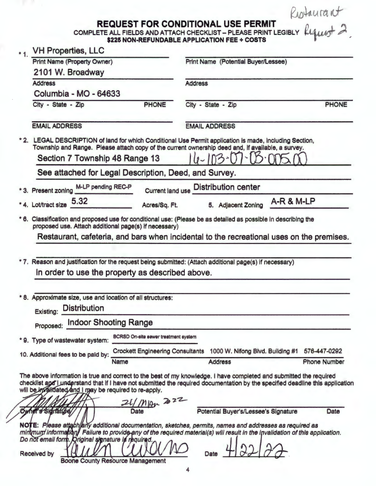## **REQUEST FOR CONDITIONAL USE PERMIT**

COMPLETE ALL FIELDS AND ATTACH CHECKLIST- PLEASE PRINT LEGIBLY **\$225 NON-REFUNDABLE APPLICATION FEE+ COSTS** 

Riotaurant

| $*1.$ | <b>VH Properties, LLC</b>                                                                                                                                                                                                                                                                                    |                                             |                                     |                                      |                       |                     |              |  |
|-------|--------------------------------------------------------------------------------------------------------------------------------------------------------------------------------------------------------------------------------------------------------------------------------------------------------------|---------------------------------------------|-------------------------------------|--------------------------------------|-----------------------|---------------------|--------------|--|
|       | <b>Print Name (Property Owner)</b>                                                                                                                                                                                                                                                                           |                                             | Print Name (Potential Buyer/Lessee) |                                      |                       |                     |              |  |
|       | 2101 W. Broadway                                                                                                                                                                                                                                                                                             |                                             |                                     |                                      |                       |                     |              |  |
|       | <b>Address</b>                                                                                                                                                                                                                                                                                               |                                             | <b>Address</b>                      |                                      |                       |                     |              |  |
|       | Columbia - MO - 64633                                                                                                                                                                                                                                                                                        |                                             |                                     |                                      |                       |                     |              |  |
|       | City - State - Zip                                                                                                                                                                                                                                                                                           | <b>PHONE</b>                                |                                     | City - State - Zip                   |                       |                     | <b>PHONE</b> |  |
|       | <b>EMAIL ADDRESS</b>                                                                                                                                                                                                                                                                                         |                                             | <b>EMAIL ADDRESS</b>                |                                      |                       |                     |              |  |
|       | * 2. LEGAL DESCRIPTION of land for which Conditional Use Permit application is made, including Section,<br>Township and Range. Please attach copy of the current ownership deed and, if available, a survey.                                                                                                 |                                             |                                     |                                      |                       |                     |              |  |
|       | Section 7 Township 48 Range 13                                                                                                                                                                                                                                                                               |                                             |                                     |                                      |                       |                     |              |  |
|       | See attached for Legal Description, Deed, and Survey.                                                                                                                                                                                                                                                        |                                             |                                     |                                      |                       |                     |              |  |
|       | Current land use Distribution center<br>M-LP pending REC-P<br>* 3. Present zoning                                                                                                                                                                                                                            |                                             |                                     |                                      |                       |                     |              |  |
|       | * 4. Lot/tract size 5.32                                                                                                                                                                                                                                                                                     | Acres/Sq. Ft.                               |                                     | 5. Adjacent Zoning                   | <b>A-R &amp; M-LP</b> |                     |              |  |
|       | * 6. Classification and proposed use for conditional use: (Please be as detailed as possible in describing the<br>proposed use. Attach additional page(s) if necessary)                                                                                                                                      |                                             |                                     |                                      |                       |                     |              |  |
|       | Restaurant, cafeteria, and bars when incidental to the recreational uses on the premises.                                                                                                                                                                                                                    |                                             |                                     |                                      |                       |                     |              |  |
|       | * 7. Reason and justification for the request being submitted: (Attach additional page(s) if necessary)                                                                                                                                                                                                      |                                             |                                     |                                      |                       |                     |              |  |
|       | In order to use the property as described above.                                                                                                                                                                                                                                                             |                                             |                                     |                                      |                       |                     |              |  |
|       | Approximate size, use and location of all structures:                                                                                                                                                                                                                                                        |                                             |                                     |                                      |                       |                     |              |  |
|       | <b>Distribution</b><br>Existing:                                                                                                                                                                                                                                                                             |                                             |                                     |                                      |                       |                     |              |  |
|       | . Indoor Shooting Range<br>Proposed:                                                                                                                                                                                                                                                                         |                                             |                                     |                                      |                       |                     |              |  |
|       | * 9. Type of wastewater system:                                                                                                                                                                                                                                                                              | <b>BCRSD On-site sewer treatment system</b> |                                     |                                      |                       |                     |              |  |
|       | 10. Additional fees to be paid by:                                                                                                                                                                                                                                                                           | <b>Crockett Engineering Consultants</b>     |                                     | 1000 W. Nifong Blvd. Building #1     |                       | 576-447-0292        |              |  |
|       |                                                                                                                                                                                                                                                                                                              | Name                                        |                                     | <b>Address</b>                       |                       | <b>Phone Number</b> |              |  |
|       | The above information is true and correct to the best of my knowledge. I have completed and submitted the required<br>checklist apd Lunderstand that if I have not submitted the required documentation by the specified deadline this application<br>will be invalidated and I may be required to re-apply. |                                             |                                     |                                      |                       |                     |              |  |
|       | Owner's Signal (re)                                                                                                                                                                                                                                                                                          | $1/M \beta r$ 222<br>Date                   |                                     | Potential Buyer's/Lessee's Signature |                       |                     | Date         |  |
|       | NOTE: Please attach/any additional documentation, sketches, permits, names and addresses as required as<br>minimum information/ Failure to provide any of the required material(s) will result in the invalidation of this application.                                                                      |                                             |                                     |                                      |                       |                     |              |  |
|       | Do not email form. Original signature is required.<br>Received by                                                                                                                                                                                                                                            |                                             |                                     | Date                                 |                       |                     |              |  |
|       |                                                                                                                                                                                                                                                                                                              | <b>Boone County Resource Management</b>     |                                     |                                      |                       |                     |              |  |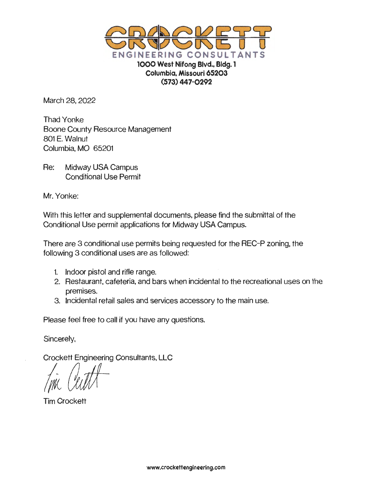

**1000 West Nifong Blvd., Bldg. 1 Columbia, Missouri 65203 (573) 447-0292** 

March 28, 2022

Thad Yonke Boone County Resource Management 801 E. Walnut Columbia, MO 65201

Re: Midway USA Campus Conditional Use Permit

Mr. Yonke:

With this letter and supplemental documents, please find the submittal of the Conditional Use permit applications for Midway USA Campus.

There are 3 conditional use permits being requested for the REC-P zoning, the following 3 conditional uses are as followed:

- 1. Indoor pistol and rifle range.
- 2. Restaurant, cafeteria, and bars when incidental to the recreational uses on the premises.
- 3. Incidental retail sales and services accessory to the main use.

Please feel free to call if you have any questions.

Sincerely,

Crockett Engineering Consultants, LLC

Tim Centil

Tim Crockett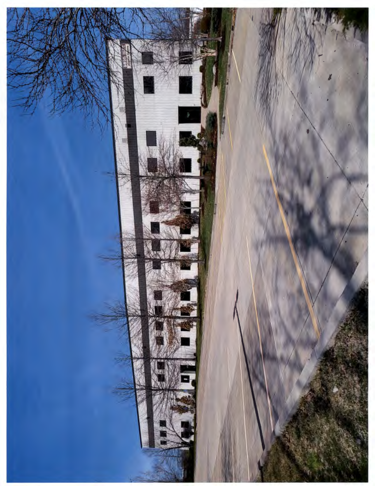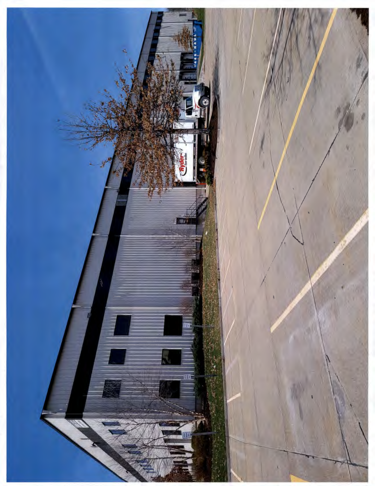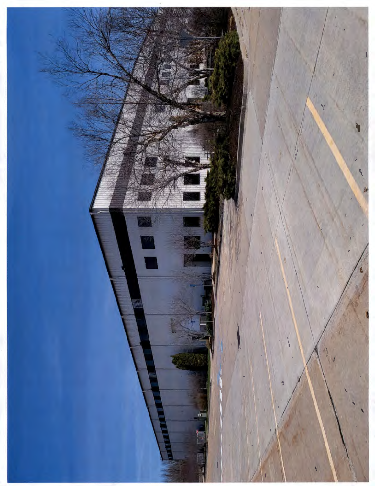